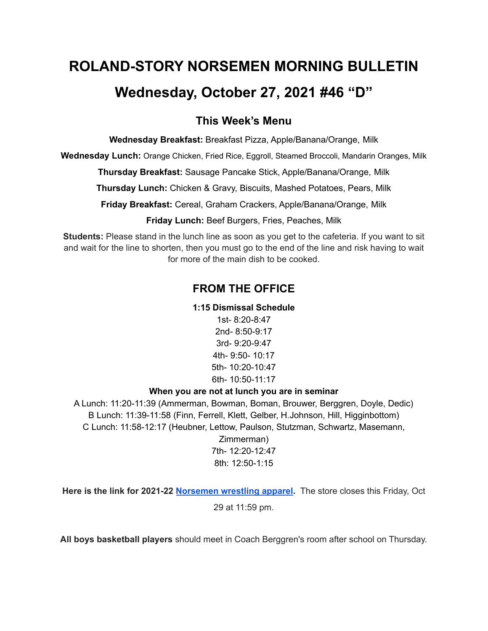# **ROLAND-STORY NORSEMEN MORNING BULLETIN**

## **Wednesday, October 27, 2021 #46 "D"**

### **This Week's Menu**

**Wednesday Breakfast:** Breakfast Pizza, Apple/Banana/Orange, Milk

**Wednesday Lunch:** Orange Chicken, Fried Rice, Eggroll, Steamed Broccoli, Mandarin Oranges, Milk

**Thursday Breakfast:** Sausage Pancake Stick, Apple/Banana/Orange, Milk

**Thursday Lunch:** Chicken & Gravy, Biscuits, Mashed Potatoes, Pears, Milk

**Friday Breakfast:** Cereal, Graham Crackers, Apple/Banana/Orange, Milk

**Friday Lunch:** Beef Burgers, Fries, Peaches, Milk

**Students:** Please stand in the lunch line as soon as you get to the cafeteria. If you want to sit and wait for the line to shorten, then you must go to the end of the line and risk having to wait for more of the main dish to be cooked.

## **FROM THE OFFICE**

#### **1:15 Dismissal Schedule**

1st- 8:20-8:47 2nd- 8:50-9:17 3rd- 9:20-9:47 4th- 9:50- 10:17 5th- 10:20-10:47 6th- 10:50-11:17

#### **When you are not at lunch you are in seminar**

A Lunch: 11:20-11:39 (Ammerman, Bowman, Boman, Brouwer, Berggren, Doyle, Dedic) B Lunch: 11:39-11:58 (Finn, Ferrell, Klett, Gelber, H.Johnson, Hill, Higginbottom) C Lunch: 11:58-12:17 (Heubner, Lettow, Paulson, Stutzman, Schwartz, Masemann, Zimmerman) 7th- 12:20-12:47

8th: 12:50-1:15

**Here is the link for 2021-22 [Norsemen](https://rswrestling21.itemorder.com/shop/sale/?saleCode=W8UP3) wrestling apparel.** The store closes this Friday, Oct 29 at 11:59 pm.

**All boys basketball players** should meet in Coach Berggren's room after school on Thursday.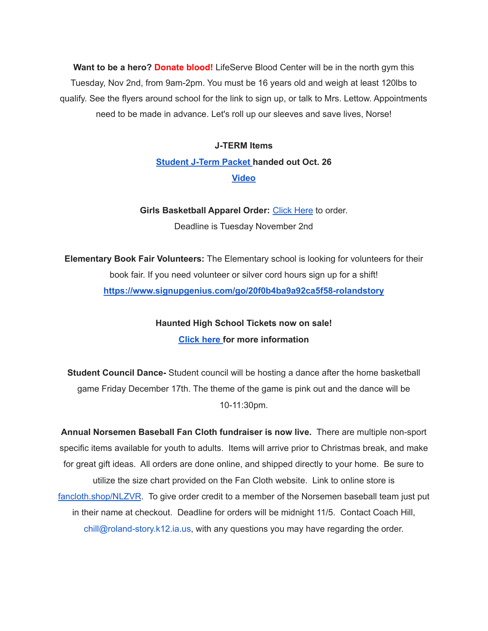**Want to be a hero? Donate blood!** LifeServe Blood Center will be in the north gym this Tuesday, Nov 2nd, from 9am-2pm. You must be 16 years old and weigh at least 120lbs to qualify. See the flyers around school for the link to sign up, or talk to Mrs. Lettow. Appointments need to be made in advance. Let's roll up our sleeves and save lives, Norse!

## **J-TERM Items [Student](https://drive.google.com/file/d/1h6QugcDvlDevR3f9EywbUQrqVqyCPD5n/view?usp=sharing) J-Term Packet handed out Oct. 26 [Video](https://drive.google.com/file/d/1-IjAQRz891m66mXs_V_s9qC8_1HN0Jw_/view?usp=sharing)**

**Girls Basketball Apparel Order:** [Click](https://rsgbb21.itemorder.com/shop/sale/) Here to order. Deadline is Tuesday November 2nd

**Elementary Book Fair Volunteers:** The Elementary school is looking for volunteers for their book fair. If you need volunteer or silver cord hours sign up for a shift! **<https://www.signupgenius.com/go/20f0b4ba9a92ca5f58-rolandstory>**

> **Haunted High School Tickets now on sale! [Click](https://drive.google.com/file/d/1QQXVvjnwkvK4mkS1QKdNp9LhOMZRHqKl/view?usp=sharing) here for more information**

**Student Council Dance-** Student council will be hosting a dance after the home basketball game Friday December 17th. The theme of the game is pink out and the dance will be 10-11:30pm.

**Annual Norsemen Baseball Fan Cloth fundraiser is now live.** There are multiple non-sport specific items available for youth to adults. Items will arrive prior to Christmas break, and make for great gift ideas. All orders are done online, and shipped directly to your home. Be sure to utilize the size chart provided on the Fan Cloth website. Link to online store is [fancloth.shop/NLZVR](http://fancloth.shop/NLZVR). To give order credit to a member of the Norsemen baseball team just put in their name at checkout. Deadline for orders will be midnight 11/5. Contact Coach Hill, chill@roland-story.k12.ia.us, with any questions you may have regarding the order.